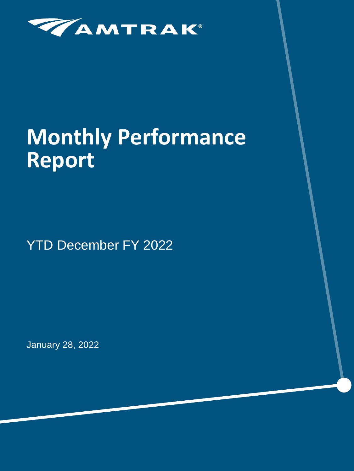

# **Monthly Performance Report**

YTD December FY 2022

January 28, 2022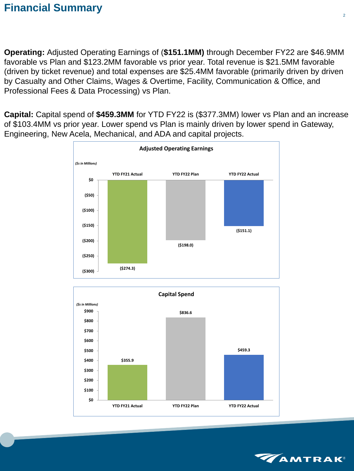## **Financial Summary**

**Operating:** Adjusted Operating Earnings of (**\$151.1MM)** through December FY22 are \$46.9MM favorable vs Plan and \$123.2MM favorable vs prior year. Total revenue is \$21.5MM favorable (driven by ticket revenue) and total expenses are \$25.4MM favorable (primarily driven by driven by Casualty and Other Claims, Wages & Overtime, Facility, Communication & Office, and Professional Fees & Data Processing) vs Plan.

**Capital:** Capital spend of **\$459.3MM** for YTD FY22 is (\$377.3MM) lower vs Plan and an increase of \$103.4MM vs prior year. Lower spend vs Plan is mainly driven by lower spend in Gateway, Engineering, New Acela, Mechanical, and ADA and capital projects.





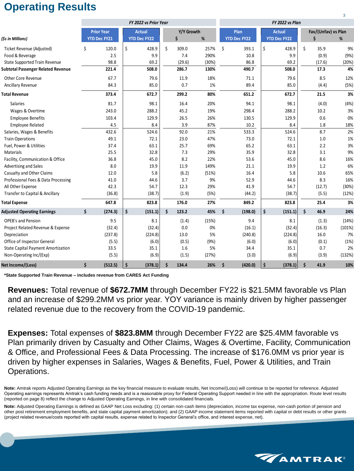## **Operating Results**

|                                           |                     |                     |                     | FY 2022 vs Plan |            |        |       |    |                     |    |                     |    |        |        |
|-------------------------------------------|---------------------|---------------------|---------------------|-----------------|------------|--------|-------|----|---------------------|----|---------------------|----|--------|--------|
|                                           |                     | <b>Prior Year</b>   | <b>Actual</b>       |                 | Y/Y Growth |        | Plan  |    | <b>Actual</b>       |    | Fav/(Unfav) vs Plan |    |        |        |
| (\$s in Millions)                         |                     | <b>YTD Dec FY21</b> | <b>YTD Dec FY22</b> |                 |            | \$     | %     |    | <b>YTD Dec FY22</b> |    | <b>YTD Dec FY22</b> |    | Ś      | %      |
| Ticket Revenue (Adjusted)                 | \$                  | 120.0               | \$                  | 428.9           | \$         | 309.0  | 257%  | \$ | 393.1               | \$ | 428.9               | \$ | 35.9   | 9%     |
| Food & Beverage                           |                     | 2.5                 |                     | 9.9             |            | 7.4    | 290%  |    | 10.8                |    | 9.9                 |    | (0.9)  | (9%)   |
| <b>State Supported Train Revenue</b>      |                     | 98.8                |                     | 69.2            |            | (29.6) | (30%) |    | 86.8                |    | 69.2                |    | (17.6) | (20%)  |
| <b>Subtotal Passenger Related Revenue</b> |                     | 221.4               |                     | 508.0           |            | 286.7  | 130%  |    | 490.7               |    | 508.0               |    | 17.3   | 4%     |
| <b>Other Core Revenue</b>                 |                     | 67.7                |                     | 79.6            |            | 11.9   | 18%   |    | 71.1                |    | 79.6                |    | 8.5    | 12%    |
| Ancillary Revenue                         |                     | 84.3                |                     | 85.0            |            | 0.7    | 1%    |    | 89.4                |    | 85.0                |    | (4.4)  | (5%)   |
| <b>Total Revenue</b>                      |                     | 373.4               |                     | 672.7           |            | 299.2  | 80%   |    | 651.2               |    | 672.7               |    | 21.5   | 3%     |
| Salaries                                  |                     | 81.7                |                     | 98.1            |            | 16.4   | 20%   |    | 94.1                |    | 98.1                |    | (4.0)  | (4%)   |
| Wages & Overtime                          |                     | 243.0               |                     | 288.2           |            | 45.2   | 19%   |    | 298.4               |    | 288.2               |    | 10.2   | 3%     |
| <b>Employee Benefits</b>                  |                     | 103.4               |                     | 129.9           |            | 26.5   | 26%   |    | 130.5               |    | 129.9               |    | 0.6    | 0%     |
| <b>Employee Related</b>                   |                     | 4.5                 |                     | 8.4             |            | 3.9    | 87%   |    | 10.2                |    | 8.4                 |    | 1.8    | 18%    |
| Salaries, Wages & Benefits                |                     | 432.6               |                     | 524.6           |            | 92.0   | 21%   |    | 533.3               |    | 524.6               |    | 8.7    | 2%     |
| <b>Train Operations</b>                   |                     | 49.1                |                     | 72.1            |            | 23.0   | 47%   |    | 73.0                |    | 72.1                |    | 1.0    | 1%     |
| Fuel, Power & Utilities                   |                     | 37.4                |                     | 63.1            |            | 25.7   | 69%   |    | 65.2                |    | 63.1                |    | 2.2    | 3%     |
| Materials                                 |                     | 25.5                |                     | 32.8            |            | 7.3    | 29%   |    | 35.9                |    | 32.8                |    | 3.1    | 9%     |
| Facility, Communication & Office          |                     | 36.8                |                     | 45.0            |            | 8.2    | 22%   |    | 53.6                |    | 45.0                |    | 8.6    | 16%    |
| Advertising and Sales                     |                     | 8.0                 |                     | 19.9            |            | 11.9   | 149%  |    | 21.1                |    | 19.9                |    | 1.2    | 6%     |
| Casualty and Other Claims                 |                     | 12.0                |                     | 5.8             |            | (6.2)  | (51%) |    | 16.4                |    | 5.8                 |    | 10.6   | 65%    |
| Professional Fees & Data Processing       |                     | 41.0                |                     | 44.6            |            | 3.7    | 9%    |    | 52.9                |    | 44.6                |    | 8.3    | 16%    |
| All Other Expense                         |                     | 42.3                |                     | 54.7            |            | 12.3   | 29%   |    | 41.9                |    | 54.7                |    | (12.7) | (30%)  |
| Transfer to Capital & Ancillary           |                     | (36.8)              |                     | (38.7)          |            | (1.9)  | (5%)  |    | (44.2)              |    | (38.7)              |    | (5.5)  | (12%)  |
| <b>Total Expense</b>                      |                     | 647.8               |                     | 823.8           |            | 176.0  | 27%   |    | 849.2               |    | 823.8               |    | 25.4   | 3%     |
| <b>Adjusted Operating Earnings</b>        | \$                  | (274.3)             | \$                  | (151.1)         | \$         | 123.2  | 45%   | \$ | (198.0)             | \$ | (151.1)             | \$ | 46.9   | 24%    |
| <b>OPEB's and Pension</b>                 |                     | 9.5                 |                     | 8.1             |            | (1.4)  | (15%) |    | 9.4                 |    | 8.1                 |    | (1.3)  | (14%)  |
| Project Related Revenue & Expense         |                     | (32.4)              |                     | (32.4)          |            | 0.0    | 0%    |    | (16.1)              |    | (32.4)              |    | (16.3) | (101%) |
| Depreciation                              |                     | (237.8)             |                     | (224.8)         |            | 13.0   | 5%    |    | (240.8)             |    | (224.8)             |    | 16.0   | 7%     |
| Office of Inspector General               |                     | (5.5)               |                     | (6.0)           |            | (0.5)  | (9%)  |    | (6.0)               |    | (6.0)               |    | (0.1)  | (1%)   |
| <b>State Capital Payment Amortization</b> |                     | 33.5                |                     | 35.1            |            | 1.6    | 5%    |    | 34.4                |    | 35.1                |    | 0.7    | 2%     |
| Non-Operating Inc/(Exp)                   |                     | (5.5)               |                     | (6.9)           |            | (1.5)  | (27%) |    | (3.0)               |    | (6.9)               |    | (3.9)  | (132%) |
| Net Income/(Loss)                         | $\ddot{\bm{\zeta}}$ | (512.5)             | \$                  | (378.1)         | \$         | 134.4  | 26%   | \$ | (420.0)             | \$ | (378.1)             | \$ | 41.9   | 10%    |

**\*State Supported Train Revenue – includes revenue from CARES Act Funding**

**Revenues:** Total revenue of **\$672.7MM** through December FY22 is \$21.5MM favorable vs Plan and an increase of \$299.2MM vs prior year. YOY variance is mainly driven by higher passenger related revenue due to the recovery from the COVID-19 pandemic.

**Expenses:** Total expenses of **\$823.8MM** through December FY22 are \$25.4MM favorable vs Plan primarily driven by Casualty and Other Claims, Wages & Overtime, Facility, Communication & Office, and Professional Fees & Data Processing. The increase of \$176.0MM vs prior year is driven by higher expenses in Salaries, Wages & Benefits, Fuel, Power & Utilities, and Train Operations.

**Note:** Amtrak reports Adjusted Operating Earnings as the key financial measure to evaluate results, Net Income/(Loss) will continue to be reported for reference. Adjusted Operating earnings represents Amtrak's cash funding needs and is a reasonable proxy for Federal Operating Support needed in line with the appropriation. Route level results (reported on page 8) reflect the change to Adjusted Operating Earnings, in line with consolidated financials.

**Note:** Adjusted Operating Earnings is defined as GAAP Net Loss excluding: (1) certain non-cash items (depreciation, income tax expense, non-cash portion of pension and other post retirement employment benefits, and state capital payment amortization); and (2) GAAP income statement items reported with capital or debt results or other grants (project related revenue/costs reported with capital results, expense related to Inspector General's office, and interest expense, net).

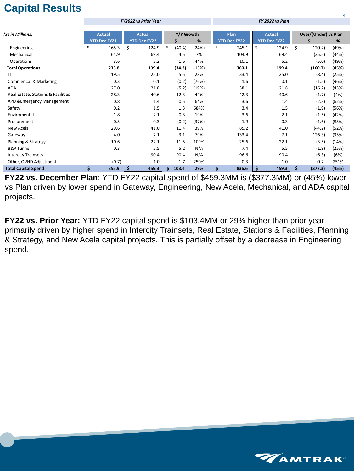## **Capital Results**

|                                    |                     | <b>FY2022 vs Prior Year</b> |              |       | FY 2022 vs Plan     |                     |                             |       |  |  |  |  |
|------------------------------------|---------------------|-----------------------------|--------------|-------|---------------------|---------------------|-----------------------------|-------|--|--|--|--|
|                                    |                     |                             |              |       |                     |                     |                             |       |  |  |  |  |
| (\$s in Millions)                  | <b>Actual</b>       | <b>Actual</b>               | Y/Y Growth   |       | Plan                | <b>Actual</b>       | <b>Over/(Under) vs Plan</b> |       |  |  |  |  |
|                                    | <b>YTD Dec FY21</b> | <b>YTD Dec FY22</b>         | \$           | $\%$  | <b>YTD Dec FY22</b> | <b>YTD Dec FY22</b> | S                           | %     |  |  |  |  |
| Engineering                        | \$<br>165.3         | \$<br>124.9                 | \$<br>(40.4) | (24%) | \$<br>245.1         | \$<br>124.9         | \$<br>(120.2)               | (49%) |  |  |  |  |
| Mechanical                         | 64.9                | 69.4                        | 4.5          | 7%    | 104.9               | 69.4                | (35.5)                      | (34%) |  |  |  |  |
| Operations                         | 3.6                 | 5.2                         | 1.6          | 44%   | 10.1                | 5.2                 | (5.0)                       | (49%) |  |  |  |  |
| <b>Total Operations</b>            | 233.8               | 199.4                       | (34.3)       | (15%) | 360.1               | 199.4               | (160.7)                     | (45%) |  |  |  |  |
| IT.                                | 19.5                | 25.0                        | 5.5          | 28%   | 33.4                | 25.0                | (8.4)                       | (25%) |  |  |  |  |
| <b>Commerical &amp; Marketing</b>  | 0.3                 | 0.1                         | (0.2)        | (76%) | 1.6                 | 0.1                 | (1.5)                       | (96%) |  |  |  |  |
| <b>ADA</b>                         | 27.0                | 21.8                        | (5.2)        | (19%) | 38.1                | 21.8                | (16.2)                      | (43%) |  |  |  |  |
| Real Estate, Stations & Facilities | 28.3                | 40.6                        | 12.3         | 44%   | 42.3                | 40.6                | (1.7)                       | (4%)  |  |  |  |  |
| APD & Emergency Management         | 0.8                 | 1.4                         | 0.5          | 64%   | 3.6                 | 1.4                 | (2.3)                       | (62%) |  |  |  |  |
| Safety                             | 0.2                 | 1.5                         | 1.3          | 684%  | 3.4                 | 1.5                 | (1.9)                       | (56%) |  |  |  |  |
| Enviromental                       | 1.8                 | 2.1                         | 0.3          | 19%   | 3.6                 | 2.1                 | (1.5)                       | (42%) |  |  |  |  |
| Procurement                        | 0.5                 | 0.3                         | (0.2)        | (37%) | 1.9                 | 0.3                 | (1.6)                       | (85%) |  |  |  |  |
| New Acela                          | 29.6                | 41.0                        | 11.4         | 39%   | 85.2                | 41.0                | (44.2)                      | (52%) |  |  |  |  |
| Gateway                            | 4.0                 | 7.1                         | 3.1          | 79%   | 133.4               | 7.1                 | (126.3)                     | (95%) |  |  |  |  |
| Planning & Strategy                | 10.6                | 22.1                        | 11.5         | 109%  | 25.6                | 22.1                | (3.5)                       | (14%) |  |  |  |  |
| <b>B&amp;P Tunnel</b>              | 0.3                 | 5.5                         | 5.2          | N/A   | 7.4                 | 5.5                 | (1.9)                       | (25%) |  |  |  |  |
| <b>Intercity Trainsets</b>         |                     | 90.4                        | 90.4         | N/A   | 96.6                | 90.4                | (6.3)                       | (6%)  |  |  |  |  |
| Other, OVHD Adjustment             | (0.7)               | 1.0                         | 1.7          | 250%  | 0.3                 | 1.0                 | 0.7                         | 251%  |  |  |  |  |
| <b>Total Capital Spend</b>         | \$<br>355.9         | \$<br>459.3                 | 103.4        | 29%   | \$<br>836.6         | \$<br>459.3         | \$<br>(377.3)               | (45%) |  |  |  |  |

**FY22 vs. December Plan**: YTD FY22 capital spend of \$459.3MM is (\$377.3MM) or (45%) lower vs Plan driven by lower spend in Gateway, Engineering, New Acela, Mechanical, and ADA capital projects.

**FY22 vs. Prior Year:** YTD FY22 capital spend is \$103.4MM or 29% higher than prior year primarily driven by higher spend in Intercity Trainsets, Real Estate, Stations & Facilities, Planning & Strategy, and New Acela capital projects. This is partially offset by a decrease in Engineering spend.



4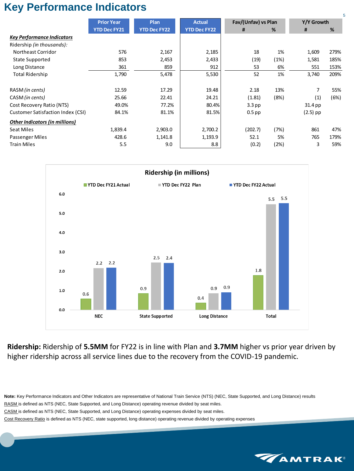## **Key Performance Indicators**

|                                          |                     |                     |                     |                     |      |            | 5    |  |
|------------------------------------------|---------------------|---------------------|---------------------|---------------------|------|------------|------|--|
|                                          | <b>Prior Year</b>   | <b>Plan</b>         | <b>Actual</b>       | Fav/(Unfav) vs Plan |      | Y/Y Growth |      |  |
|                                          | <b>YTD Dec FY21</b> | <b>YTD Dec FY22</b> | <b>YTD Dec FY22</b> | #                   | %    | #          | %    |  |
| <b>Key Performance Indicators</b>        |                     |                     |                     |                     |      |            |      |  |
| Ridership (in thousands):                |                     |                     |                     |                     |      |            |      |  |
| <b>Northeast Corridor</b>                | 576                 | 2,167               | 2,185               | 18                  | 1%   | 1,609      | 279% |  |
| <b>State Supported</b>                   | 853                 | 2,453               | 2,433               | (19)                | (1%) | 1,581      | 185% |  |
| Long Distance                            | 361                 | 859                 | 912                 | 53                  | 6%   | 551        | 153% |  |
| <b>Total Ridership</b>                   | 1,790               | 5,478               | 5,530               | 52                  | 1%   | 3,740      | 209% |  |
| RASM (in cents)                          | 12.59               | 17.29               | 19.48               | 2.18                | 13%  | 7          | 55%  |  |
| CASM (in cents)                          | 25.66               | 22.41               | 24.21               | (1.81)              | (8%) | (1)        | (6%) |  |
| Cost Recovery Ratio (NTS)                | 49.0%               | 77.2%               | 80.4%               | $3.3$ pp            |      | 31.4 pp    |      |  |
| <b>Customer Satisfaction Index (CSI)</b> | 84.1%               | 81.1%               | 81.5%               | $0.5$ pp            |      | $(2.5)$ pp |      |  |
| <b>Other Indicators (in millions)</b>    |                     |                     |                     |                     |      |            |      |  |
| <b>Seat Miles</b>                        | 1,839.4             | 2,903.0             | 2,700.2             | (202.7)             | (7%) | 861        | 47%  |  |
| Passenger Miles                          | 428.6               | 1,141.8             | 1,193.9             | 52.1                | 5%   | 765        | 179% |  |
| <b>Train Miles</b>                       | 5.5                 | 9.0                 | 8.8                 | (0.2)               | (2%) | 3          | 59%  |  |



**Ridership:** Ridership of **5.5MM** for FY22 is in line with Plan and **3.7MM** higher vs prior year driven by higher ridership across all service lines due to the recovery from the COVID-19 pandemic.

**Note:** Key Performance Indicators and Other Indicators are representative of National Train Service (NTS) (NEC, State Supported, and Long Distance) results RASM is defined as NTS (NEC, State Supported, and Long Distance) operating revenue divided by seat miles. CASM is defined as NTS (NEC, State Supported, and Long Distance) operating expenses divided by seat miles. Cost Recovery Ratio is defined as NTS (NEC, state supported, long distance) operating revenue divided by operating expenses

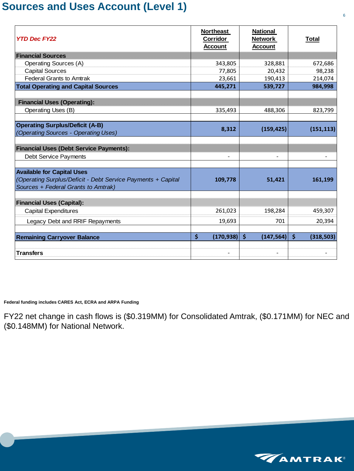### **Sources and Uses Account (Level 1)**

| <b>Northeast</b><br><b>Corridor</b><br><b>Account</b> | <b>National</b><br><b>Network</b><br><b>Account</b> | <u>Total</u>          |
|-------------------------------------------------------|-----------------------------------------------------|-----------------------|
|                                                       |                                                     |                       |
| 343,805                                               | 328,881                                             | 672,686               |
| 77,805                                                | 20,432                                              | 98,238                |
| 23,661                                                | 190,413                                             | 214,074               |
| 445,271                                               | 539,727                                             | 984,998               |
|                                                       |                                                     |                       |
|                                                       |                                                     | 823,799               |
| 8,312                                                 | (159, 425)                                          | (151, 113)            |
|                                                       |                                                     |                       |
|                                                       |                                                     |                       |
| 109,778                                               | 51,421                                              | 161,199               |
|                                                       |                                                     |                       |
| 261,023                                               | 198,284                                             | 459,307               |
| 19,693                                                | 701                                                 | 20,394                |
| $\boldsymbol{\zeta}$                                  | $\zeta$<br>(147, 564)                               | $\zeta$<br>(318, 503) |
|                                                       | 335,493                                             | 488,306<br>(170, 938) |

**Federal funding includes CARES Act, ECRA and ARPA Funding**

FY22 net change in cash flows is (\$0.319MM) for Consolidated Amtrak, (\$0.171MM) for NEC and (\$0.148MM) for National Network.